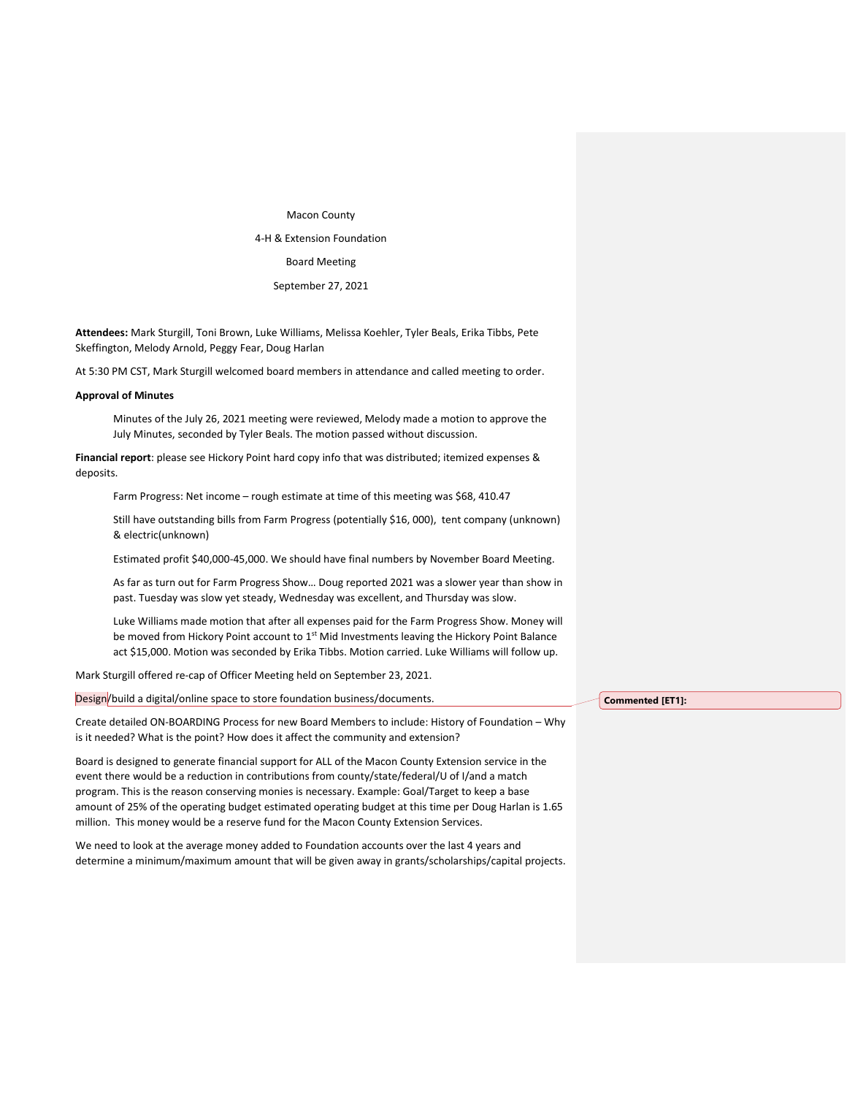Macon County 4-H & Extension Foundation Board Meeting September 27, 2021

**Attendees:** Mark Sturgill, Toni Brown, Luke Williams, Melissa Koehler, Tyler Beals, Erika Tibbs, Pete Skeffington, Melody Arnold, Peggy Fear, Doug Harlan

At 5:30 PM CST, Mark Sturgill welcomed board members in attendance and called meeting to order.

## **Approval of Minutes**

Minutes of the July 26, 2021 meeting were reviewed, Melody made a motion to approve the July Minutes, seconded by Tyler Beals. The motion passed without discussion.

**Financial report**: please see Hickory Point hard copy info that was distributed; itemized expenses & deposits.

Farm Progress: Net income - rough estimate at time of this meeting was \$68, 410.47

Still have outstanding bills from Farm Progress (potentially \$16, 000), tent company (unknown) & electric(unknown)

Estimated profit \$40,000-45,000. We should have final numbers by November Board Meeting.

As far as turn out for Farm Progress Show… Doug reported 2021 was a slower year than show in past. Tuesday was slow yet steady, Wednesday was excellent, and Thursday was slow.

Luke Williams made motion that after all expenses paid for the Farm Progress Show. Money will be moved from Hickory Point account to 1<sup>st</sup> Mid Investments leaving the Hickory Point Balance act \$15,000. Motion was seconded by Erika Tibbs. Motion carried. Luke Williams will follow up.

Mark Sturgill offered re-cap of Officer Meeting held on September 23, 2021.

Design/build a digital/online space to store foundation business/documents.

Create detailed ON-BOARDING Process for new Board Members to include: History of Foundation – Why is it needed? What is the point? How does it affect the community and extension?

Board is designed to generate financial support for ALL of the Macon County Extension service in the event there would be a reduction in contributions from county/state/federal/U of I/and a match program. This is the reason conserving monies is necessary. Example: Goal/Target to keep a base amount of 25% of the operating budget estimated operating budget at this time per Doug Harlan is 1.65 million. This money would be a reserve fund for the Macon County Extension Services.

We need to look at the average money added to Foundation accounts over the last 4 years and determine a minimum/maximum amount that will be given away in grants/scholarships/capital projects. **Commented [ET1]:**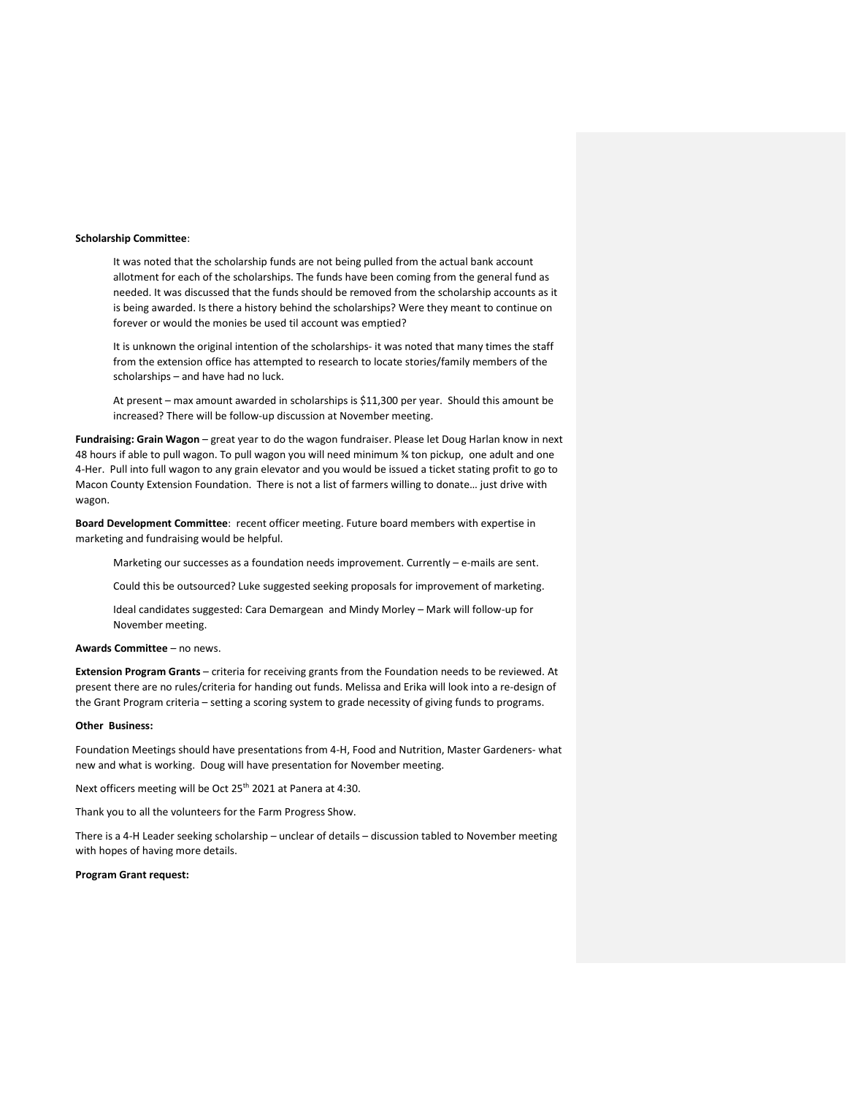## **Scholarship Committee**:

It was noted that the scholarship funds are not being pulled from the actual bank account allotment for each of the scholarships. The funds have been coming from the general fund as needed. It was discussed that the funds should be removed from the scholarship accounts as it is being awarded. Is there a history behind the scholarships? Were they meant to continue on forever or would the monies be used til account was emptied?

It is unknown the original intention of the scholarships- it was noted that many times the staff from the extension office has attempted to research to locate stories/family members of the scholarships – and have had no luck.

At present – max amount awarded in scholarships is \$11,300 per year. Should this amount be increased? There will be follow-up discussion at November meeting.

**Fundraising: Grain Wagon** – great year to do the wagon fundraiser. Please let Doug Harlan know in next 48 hours if able to pull wagon. To pull wagon you will need minimum ¾ ton pickup, one adult and one 4-Her. Pull into full wagon to any grain elevator and you would be issued a ticket stating profit to go to Macon County Extension Foundation. There is not a list of farmers willing to donate… just drive with wagon.

**Board Development Committee**: recent officer meeting. Future board members with expertise in marketing and fundraising would be helpful.

Marketing our successes as a foundation needs improvement. Currently – e-mails are sent.

Could this be outsourced? Luke suggested seeking proposals for improvement of marketing.

Ideal candidates suggested: Cara Demargean and Mindy Morley – Mark will follow-up for November meeting.

#### **Awards Committee** – no news.

**Extension Program Grants** – criteria for receiving grants from the Foundation needs to be reviewed. At present there are no rules/criteria for handing out funds. Melissa and Erika will look into a re-design of the Grant Program criteria – setting a scoring system to grade necessity of giving funds to programs.

### **Other Business:**

Foundation Meetings should have presentations from 4-H, Food and Nutrition, Master Gardeners- what new and what is working. Doug will have presentation for November meeting.

Next officers meeting will be Oct 25<sup>th</sup> 2021 at Panera at 4:30.

Thank you to all the volunteers for the Farm Progress Show.

There is a 4-H Leader seeking scholarship – unclear of details – discussion tabled to November meeting with hopes of having more details.

# **Program Grant request:**